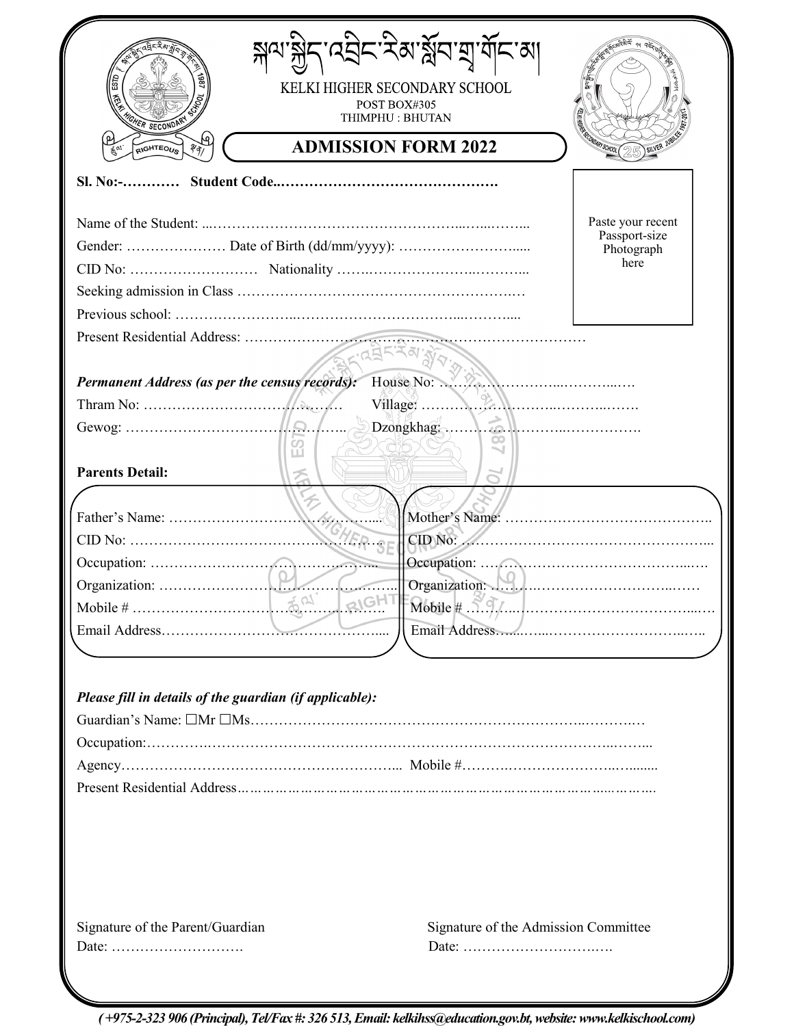| GHER SECONDA                                                                                         | KELKI HIGHER SECONDARY SCHOOL<br>POST BOX#305<br>THIMPHU: BHUTAN | <b>RESIDENCE DESCRIPTION (RESIDENCE)</b> |
|------------------------------------------------------------------------------------------------------|------------------------------------------------------------------|------------------------------------------|
| सि<br>RIGHTEOUS<br>$\sqrt[3]{\mathfrak{q}}$                                                          | <b>ADMISSION FORM 2022</b>                                       |                                          |
|                                                                                                      |                                                                  |                                          |
|                                                                                                      |                                                                  | Paste your recent                        |
|                                                                                                      |                                                                  | Passport-size<br>Photograph              |
|                                                                                                      |                                                                  | here                                     |
|                                                                                                      |                                                                  |                                          |
|                                                                                                      |                                                                  |                                          |
|                                                                                                      |                                                                  |                                          |
|                                                                                                      |                                                                  |                                          |
| Permanent Address (as per the census records):                                                       | House No:                                                        |                                          |
| Thram No: $\ldots$ $\ldots$ $\ldots$                                                                 | $\text{Village:} \qquad \qquad \sum_i \sum_j$                    |                                          |
|                                                                                                      | Dzongkhag                                                        |                                          |
|                                                                                                      | œ<br>ကြို                                                        |                                          |
| <b>Parents Detail:</b>                                                                               |                                                                  |                                          |
|                                                                                                      |                                                                  |                                          |
|                                                                                                      |                                                                  |                                          |
|                                                                                                      |                                                                  |                                          |
|                                                                                                      |                                                                  |                                          |
| Organization:                                                                                        | Organization:                                                    |                                          |
|                                                                                                      | RIGH                                                             | $\text{Mobile} \# \ \text{S.} \$         |
|                                                                                                      |                                                                  |                                          |
|                                                                                                      |                                                                  |                                          |
|                                                                                                      |                                                                  |                                          |
|                                                                                                      |                                                                  |                                          |
|                                                                                                      |                                                                  |                                          |
|                                                                                                      |                                                                  |                                          |
|                                                                                                      |                                                                  |                                          |
|                                                                                                      |                                                                  |                                          |
|                                                                                                      |                                                                  |                                          |
|                                                                                                      |                                                                  |                                          |
|                                                                                                      |                                                                  |                                          |
|                                                                                                      |                                                                  |                                          |
|                                                                                                      |                                                                  |                                          |
|                                                                                                      |                                                                  |                                          |
|                                                                                                      |                                                                  |                                          |
| Please fill in details of the guardian (if applicable):<br>Signature of the Parent/Guardian<br>Date: | Signature of the Admission Committee                             |                                          |

*( +975-2-323 906 (Principal), Tel/Fax #: 326 513, Email: kelkihss@education.gov.bt, website: www.kelkischool.com)*